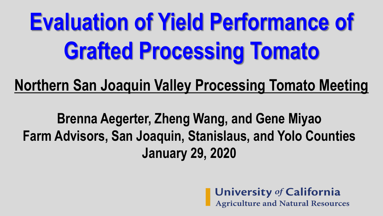# **Evaluation of Yield Performance of Grafted Processing Tomato**

#### **Northern San Joaquin Valley Processing Tomato Meeting**

**Brenna Aegerter, Zheng Wang, and Gene Miyao Farm Advisors, San Joaquin, Stanislaus, and Yolo Counties January 29, 2020**

University of California<br>Agriculture and Natural Resources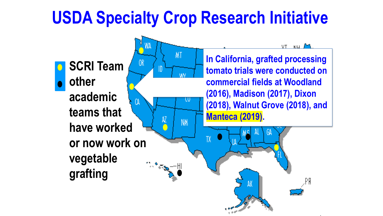### **USDA Specialty Crop Research Initiative**

**MT** 

W

NM<sub></sub>

 $0<sub>k</sub>$ 

ID

 $\mu$ 

**SCRI Team other academic teams that have worked or now work on vegetable grafting**

**In California, grafted processing tomato trials were conducted on commercial fields at Woodland (2016), Madison (2017), Dixon (2018), Walnut Grove (2018), and Manteca (2019).** 

AK

yt wu /<sup>e</sup>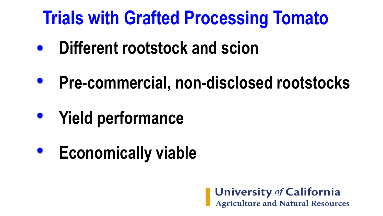## **Trials with Grafted Processing Tomato**

- **Different rootstock and scion**  $\bullet$
- **Pre-commercial, non-disclosed rootstocks**
- **Yield performance**
- **Economically viable**

**University of California**<br>Agriculture and Natural Resources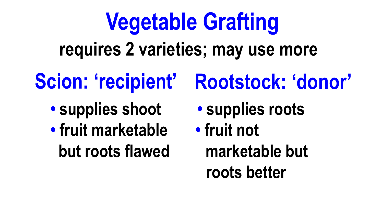# **Vegetable Grafting requires 2 varieties; may use more**

- - **• supplies shoot • supplies roots**
	- **• fruit marketable • fruit not**
- **Scion: 'recipient' Rootstock: 'donor'**
	-
	- **but roots flawed marketable but roots better**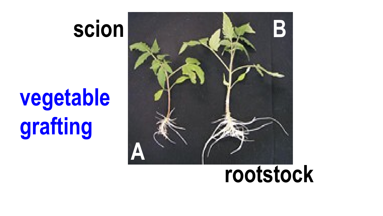## **scion**

# **vegetable grafting**



## **rootstock**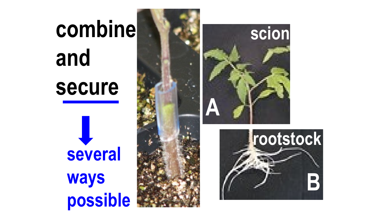# **combine and secure**

**several ways possible**





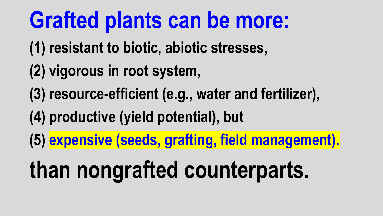## **Grafted plants can be more:**

- **(1) resistant to biotic, abiotic stresses,**
- **(2) vigorous in root system,**
- **(3) resource-efficient (e.g., water and fertilizer),**
- **(4) productive (yield potential), but**
- **(5) expensive (seeds, grafting, field management).**

# **than nongrafted counterparts.**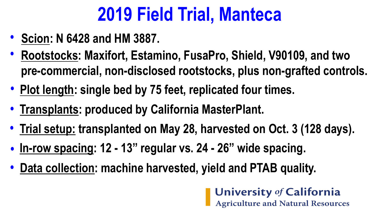## **2019 Field Trial, Manteca**

- **Scion: N 6428 and HM 3887. •**
- **Rootstocks: Maxifort, Estamino, FusaPro, Shield, V90109, and two • pre-commercial, non-disclosed rootstocks, plus non-grafted controls.**
- **• Plot length: single bed by 75 feet, replicated four times.**
- **• Transplants: produced by California MasterPlant.**
- **Trial setup: transplanted on May 28, harvested on Oct. 3 (128 days). •**
- **In-row spacing: 12 - 13" regular vs. 24 - 26" wide spacing. •**
- **• Data collection: machine harvested, yield and PTAB quality.**

**University of California Agriculture and Natural Resources**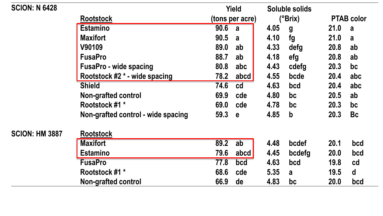| <b>SCION: N 6428</b>               |                               |      | <b>Yield</b>    |      | Soluble solids |             |                   |
|------------------------------------|-------------------------------|------|-----------------|------|----------------|-------------|-------------------|
|                                    | <b>Rootstock</b>              |      | (tons per acre) |      | (°Brix)        |             | <b>PTAB color</b> |
|                                    | <b>Estamino</b>               | 90.6 | a               | 4.05 | g              | 21.0        | a a               |
|                                    | <b>Maxifort</b>               | 90.5 | a               | 4.10 | fg             | 21.0        | a                 |
|                                    | V90109                        | 89.0 | ab              | 4.33 | defg           | 20.8        | ab                |
|                                    | <b>FusaPro</b>                | 88.7 | ab              | 4.18 | efg            | 20.8        | ab                |
|                                    | <b>FusaPro - wide spacing</b> | 80.8 | abc             | 4.43 | cdefg          | <b>20.3</b> | bc                |
|                                    | Rootstock #2 * - wide spacing | 78.2 | abcd            | 4.55 | bcde           | 20.4        | abc               |
|                                    | <b>Shield</b>                 | 74.6 | cd              | 4.63 | bcd            | 20.4        | abc               |
|                                    | <b>Non-grafted control</b>    | 69.9 | cde             | 4.80 | bc             | 20.5        | ab                |
|                                    | Rootstock #1 *                | 69.0 | cde             | 4.78 | bc             | 20.3        | bc                |
| Non-grafted control - wide spacing |                               | 59.3 | $\mathbf{e}$    | 4.85 | $\mathbf b$    | <b>20.3</b> | <b>Bc</b>         |
| <b>SCION: HM 3887</b>              | <b>Rootstock</b>              |      |                 |      |                |             |                   |
|                                    | <b>Maxifort</b>               | 89.2 | ab              | 4.48 | bcdef          | 20.1        | bcd               |
|                                    | <b>Estamino</b>               | 79.6 | abcd            | 4.45 | bcdefg         | 20.0        | bcd               |
|                                    | <b>FusaPro</b>                | 77.8 | bcd             | 4.63 | bcd            | 19.8        | cd                |
|                                    | Rootstock #1 *                | 68.6 | cde             | 5.35 | a              | 19.5        | $\mathbf d$       |
| <b>Non-grafted control</b>         |                               | 66.9 | de              | 4.83 | bc             | <b>20.0</b> | bcd               |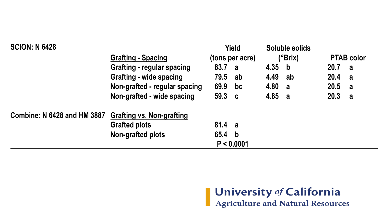| <b>SCION: N 6428</b>               |                                   |        | <b>Yield</b>    | <b>Soluble solids</b><br>$(^{\circ}Brix)$ |             |        |                   |
|------------------------------------|-----------------------------------|--------|-----------------|-------------------------------------------|-------------|--------|-------------------|
|                                    | <b>Grafting - Spacing</b>         |        | (tons per acre) |                                           |             |        | <b>PTAB color</b> |
|                                    | <b>Grafting - regular spacing</b> | 83.7 a |                 | 4.35                                      | $\mathbf b$ | 20.7 a |                   |
|                                    | <b>Grafting - wide spacing</b>    | 79.5   | -ab             | 4.49                                      | ab          | 20.4   | $\mathbf{a}$      |
|                                    | Non-grafted - regular spacing     | 69.9   | bc              | 4.80                                      | a           | 20.5 a |                   |
|                                    | Non-grafted - wide spacing        | 59.3 c |                 | 4.85 a                                    |             | 20.3 a |                   |
| <b>Combine: N 6428 and HM 3887</b> | <b>Grafting vs. Non-grafting</b>  |        |                 |                                           |             |        |                   |
|                                    | <b>Grafted plots</b>              | 81.4 a |                 |                                           |             |        |                   |
|                                    | Non-grafted plots                 | 65.4 b |                 |                                           |             |        |                   |
|                                    |                                   |        | P < 0.0001      |                                           |             |        |                   |

University of California<br>Agriculture and Natural Resources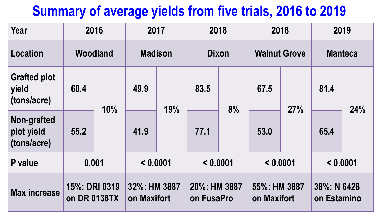#### **Summary of average yields from five trials, 2016 to 2019**

| <b>Year</b>                                 | 2016                          |     | 2017                        |                                | 2018                       |                     | 2018                        |                | 2019                       |     |
|---------------------------------------------|-------------------------------|-----|-----------------------------|--------------------------------|----------------------------|---------------------|-----------------------------|----------------|----------------------------|-----|
| <b>Location</b>                             | Woodland                      |     |                             | <b>Madison</b><br><b>Dixon</b> |                            | <b>Walnut Grove</b> |                             | <b>Manteca</b> |                            |     |
| <b>Grafted plot</b><br>yield<br>(tons/acre) | 60.4                          | 10% | 49.9                        | 19%                            | 83.5<br>77.1               | 8%                  | 67.5                        | 27%            | 81.4                       | 24% |
| Non-grafted<br>plot yield<br>(tons/acre)    | 55.2                          |     | 41.9                        |                                |                            |                     | 53.0                        |                | 65.4                       |     |
| P value                                     | 0.001                         |     | < 0.0001                    |                                | < 0.0001                   |                     | < 0.0001                    |                | < 0.0001                   |     |
| <b>Max increase</b>                         | 15%: DRI 0319<br>on DR 0138TX |     | 32%: HM 3887<br>on Maxifort |                                | 20%: HM 3887<br>on FusaPro |                     | 55%: HM 3887<br>on Maxifort |                | 38%: N 6428<br>on Estamino |     |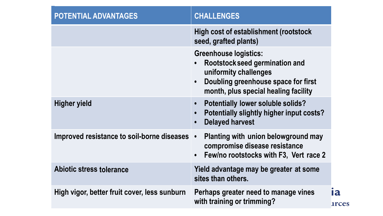| <b>POTENTIAL ADVANTAGES</b>                  | <b>CHALLENGES</b>                                                                                                                                                      |                           |
|----------------------------------------------|------------------------------------------------------------------------------------------------------------------------------------------------------------------------|---------------------------|
|                                              | <b>High cost of establishment (rootstock)</b><br>seed, grafted plants)                                                                                                 |                           |
|                                              | <b>Greenhouse logistics:</b><br>Rootstock seed germination and<br>uniformity challenges<br>Doubling greenhouse space for first<br>month, plus special healing facility |                           |
| Higher yield                                 | <b>Potentially lower soluble solids?</b><br>Potentially slightly higher input costs?<br><b>Delayed harvest</b><br>$\bullet$                                            |                           |
| Improved resistance to soil-borne diseases • | <b>Planting with union belowground may</b><br>compromise disease resistance<br>Few/no rootstocks with F3, Vert race 2                                                  |                           |
| <b>Abiotic stress tolerance</b>              | Yield advantage may be greater at some<br>sites than others.                                                                                                           |                           |
| High vigor, better fruit cover, less sunburn | Perhaps greater need to manage vines<br>with training or trimming?                                                                                                     | <b>1a</b><br><b>arces</b> |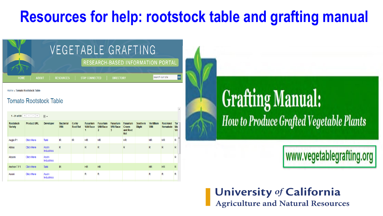#### **Resources for help: rootstock table and grafting manual**

|             | VEGETABLE GRAFTING                                                                                     |
|-------------|--------------------------------------------------------------------------------------------------------|
|             | RESEARCH-BASED INFORMATION PORTAL                                                                      |
| <b>HOME</b> | GO<br>search our site<br><b>STAY CONNECTED</b><br><b>RESOURCES</b><br><b>DIRECTORY</b><br><b>ABOUT</b> |

Home » Tomato Rootstock Table

#### **Tomato Rootstock Table**

#### 1 - 51 of 51  $\left|\left|\left|\left|\left|\right|\right|\right|\right| \right| \rightarrow \left|\left|\left|\right|\right|$

| <b>Rootstock</b><br><b>Variety</b> | <b>Product URL</b> | <b>Developer</b>    | <b>Bacterial</b><br>Wilt | <b>Corky</b><br><b>Root Rot</b> | <b>Fusarium</b><br><b>Wilt Race</b><br>1 | <b>Fusarium</b><br><b>Wilt Race</b><br>2 | <b>Fusarium</b><br><b>Wilt Race</b><br>3 | <b>Fusarium</b><br><b>Crown</b><br>and Root<br>Rot | <b>Southern</b><br><b>Blight</b> | <b>Vertillium</b><br>Wilt | <b>Root-knot</b><br>Nematode | Tor<br>Mo<br>Vir |
|------------------------------------|--------------------|---------------------|--------------------------|---------------------------------|------------------------------------------|------------------------------------------|------------------------------------------|----------------------------------------------------|----------------------------------|---------------------------|------------------------------|------------------|
| Aegis F1                           | <b>Click Here</b>  | Takii               | IR                       | <b>IR</b>                       | <b>HR</b>                                | <b>HR</b>                                |                                          | <b>HR</b>                                          |                                  | <b>HR</b>                 | <b>HR</b>                    | Ξ<br>R           |
| Aibou                              | <b>Click Here</b>  | Asahi<br>Industries | R                        |                                 | R                                        | $\mathsf{R}$                             |                                          | R                                                  |                                  | $\mathsf{R}$              | $\mathsf{R}$                 | $\mathsf{R}$     |
| Akaoni                             | <b>Click Here</b>  | Asahi<br>Industries |                          |                                 |                                          |                                          |                                          |                                                    |                                  |                           |                              | R                |
| Anchor-TF1                         | <b>Click Here</b>  | <b>Takii</b>        | IR                       |                                 | <b>HR</b>                                | <b>HR</b>                                |                                          |                                                    |                                  | <b>HR</b>                 | <b>HR</b>                    | $\mathsf{R}$     |
| Aooni                              | <b>Click Here</b>  | Asahi<br>Industries |                          |                                 | R                                        | R                                        |                                          |                                                    |                                  | R                         | R                            | R                |

## **Grafting Manual:** How to Produce Grafted Vegetable Plants

#### www.vegetablegrafting.org

**University of California Agriculture and Natural Resources**